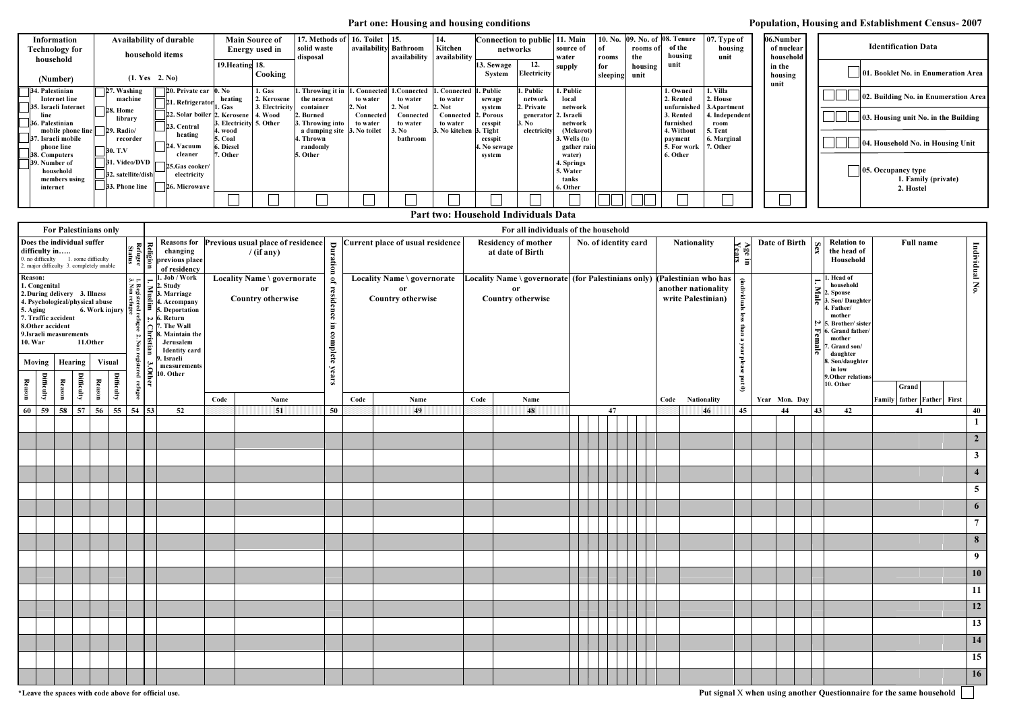| <b>Information</b>                                  |                                | <b>Availability of durable</b>                          | <b>Main Source of</b>                          |                           | 17. Methods of   16. Toilet   15.       |                                |                                 | <b>14.</b>                      | Connection to public 11. Main        |                                  |                                     | 10. No. 09. No. of 08. Tenure |                |                                       | $07.$ Type of                          | 06.Number           |                                                |
|-----------------------------------------------------|--------------------------------|---------------------------------------------------------|------------------------------------------------|---------------------------|-----------------------------------------|--------------------------------|---------------------------------|---------------------------------|--------------------------------------|----------------------------------|-------------------------------------|-------------------------------|----------------|---------------------------------------|----------------------------------------|---------------------|------------------------------------------------|
| <b>Technology for</b>                               |                                | household items                                         |                                                | <b>Energy</b> used in     | solid waste                             | availability Bathroom          |                                 | Kitchen                         | networks                             |                                  | source of                           |                               | rooms of       | of the                                | housing                                | of nuclear          | <b>Identification Data</b>                     |
| household                                           |                                |                                                         | 19. Heating 18.                                |                           | disposal                                |                                | availability availability       |                                 | 3. Sewage                            | 12.                              | water<br>supply                     | rooms<br>for                  | the<br>housing | housing<br>unit                       | unit                                   | household<br>in the |                                                |
| (Number)                                            |                                | (1. Yes 2. No)                                          |                                                | Cooking                   |                                         |                                |                                 |                                 | <b>System</b>                        | Electricity                      |                                     | sleeping                      | unit           |                                       |                                        | housing<br>unit     | 01. Booklet No. in Enu                         |
| 4. Palestinian<br><b>Internet line</b>              | 27. Washing<br>machine         | $\Box$ 20. Private car $\Box$ 0. No<br>21. Refrigerator | heating                                        | 1. Gas<br>2. Kerosene     | Throwing it in<br>the nearest           | . Connected<br>to water        | .Connected<br>to water          | Connected<br>to water           | . Public<br>sewage                   | . Public<br>network              | 1. Public<br>local                  |                               |                | 1. Owned<br>2. Rented                 | . Villa<br>2. House                    |                     | 02. Building No. in Enu                        |
| 55. Israeli Internet<br>line<br>36. Palestinian     | 28. Home<br>library            | 22. Solar boiler 2                                      | . Gas<br>. Kerosene<br>3. Electricity 5. Other | 3. Electricity<br>4. Wood | container<br>Burned<br>3. Throwing into | . Not<br>Connected<br>to water | 2. Not<br>Connected<br>to water | 2. Not<br>Connected<br>to water | svstem<br>. Porous<br>cesspit        | 2. Private<br>generator<br>3. No | network<br>2. Israeli<br>network    |                               |                | unfurnished<br>3. Rented<br>furnished | 3. Apartment<br>4. Independent<br>room |                     | $\parallel$ 03. Housing unit No. in            |
| mobile phone line<br>Israeli mobile                 | $29. \text{Radio}$<br>recorder | 23. Central<br>heating                                  | 4. wood<br>5. Coal                             |                           | a dumping site 3.<br>. Thrown           | . No toilet                    | 3. N <sub>0</sub><br>bathroom   | 3. No kitchen                   | 3. Tight<br>cesspit                  | electricity                      | (Mekorot)<br>3. Wells (to           |                               |                | 4. Without<br>payment                 | . Tent<br>6. Marginal                  |                     | 04. Household No. in H                         |
| phone line<br><b>38. Computers</b><br>39. Number of | 30. T.V<br>31. Video/DVD       | 24. Vacuum<br>cleaner                                   | Diesel<br>. Other                              |                           | randomly<br>5. Other                    |                                |                                 |                                 | . No sewage<br>system                |                                  | gather rain<br>water)<br>4. Springs |                               |                | 5. For work<br>6. Other               | 17. Other                              |                     |                                                |
| household<br>members using                          | 32. satellite/dish             | 25.Gas cooker/<br>electricity                           |                                                |                           |                                         |                                |                                 |                                 |                                      |                                  | 5. Water<br>tanks                   |                               |                |                                       |                                        |                     | $\parallel$ 05. Occupancy type<br>1. Family (p |
| internet                                            | $33.$ Phone line               | <b>26. Microwave</b>                                    |                                                |                           |                                         |                                |                                 |                                 |                                      |                                  | 6. Other                            |                               |                |                                       |                                        |                     | 2. Hostel                                      |
|                                                     |                                |                                                         |                                                |                           |                                         |                                |                                 |                                 |                                      |                                  |                                     |                               |                |                                       |                                        |                     |                                                |
|                                                     |                                |                                                         |                                                |                           |                                         |                                |                                 |                                 | Part two: Household Individuals Data |                                  |                                     |                               |                |                                       |                                        |                     |                                                |

| 06.Number<br>of nuclear<br>household | <b>Identification Data</b>                             |
|--------------------------------------|--------------------------------------------------------|
| in the<br>housing<br>unit            | 01. Booklet No. in Enumeration Area                    |
|                                      | 02. Building No. in Enumeration Area                   |
|                                      | 03. Housing unit No. in the Building                   |
|                                      | 04. Household No. in Housing Unit                      |
|                                      | 05. Occupancy type<br>1. Family (private)<br>2. Hostel |
|                                      |                                                        |

|                                                                                                                                                                                                                                                                                                                                                                                                                                                                                                                                                                |                                                                                                             | <b>For Palestinians only</b>     |                                                                                                                                                                                                                                                                       |                                                                      |                     | For all individuals of the household                                                                                                                                                                                                                                                                                                                              |                                                                                                    |          |                                |                                  |      |                                                |      |                      |  |                                                                                                                               |                                                        |                    |                  |                                                |                                                                                                                                                                                                                               |               |                                                |           |                                                                      |                |                  |
|----------------------------------------------------------------------------------------------------------------------------------------------------------------------------------------------------------------------------------------------------------------------------------------------------------------------------------------------------------------------------------------------------------------------------------------------------------------------------------------------------------------------------------------------------------------|-------------------------------------------------------------------------------------------------------------|----------------------------------|-----------------------------------------------------------------------------------------------------------------------------------------------------------------------------------------------------------------------------------------------------------------------|----------------------------------------------------------------------|---------------------|-------------------------------------------------------------------------------------------------------------------------------------------------------------------------------------------------------------------------------------------------------------------------------------------------------------------------------------------------------------------|----------------------------------------------------------------------------------------------------|----------|--------------------------------|----------------------------------|------|------------------------------------------------|------|----------------------|--|-------------------------------------------------------------------------------------------------------------------------------|--------------------------------------------------------|--------------------|------------------|------------------------------------------------|-------------------------------------------------------------------------------------------------------------------------------------------------------------------------------------------------------------------------------|---------------|------------------------------------------------|-----------|----------------------------------------------------------------------|----------------|------------------|
|                                                                                                                                                                                                                                                                                                                                                                                                                                                                                                                                                                | Does the individual suffer<br>difficulty in<br>0. no difficulty<br>2. major difficulty 3. completely unable |                                  | 1. some difficulty                                                                                                                                                                                                                                                    |                                                                      |                     | Reasons for Previous usual place of residence<br>$\begin{array}{ccc}\n\mathbf{g} & \mathbf{g} & \mathbf{Resons for} \\ \hline\n\mathbf{g} & \mathbf{g} & \mathbf{e} \\ \hline\n\mathbf{g} & \mathbf{g} & \mathbf{e} \\ \hline\n\mathbf{g} & \mathbf{g} & \mathbf{e} \\ \hline\n\mathbf{g} & \mathbf{g} & \mathbf{e}\n\end{array}$<br>$/$ (if any)<br>of residency |                                                                                                    | Duration |                                | Current place of usual residence |      | <b>Residency of mother</b><br>at date of Birth |      | No. of identity card |  |                                                                                                                               |                                                        | <b>Nationality</b> | Age in<br>Years  |                                                | Date of Birth                                                                                                                                                                                                                 | Sex           | <b>Relation to</b><br>the head of<br>Household | Full name |                                                                      | Individual No. |                  |
| <b>Reason:</b><br>1. Congenital<br>2. During delivery 3. Illness<br>3. Illness<br>hysical abuse<br>6. Work injury $\begin{bmatrix} 2 & a_2 \\ a_2 & a_3 \\ a_4 & a_5 \\ a_6 & a_6 \end{bmatrix} \stackrel{\leq}{\approx} \begin{bmatrix} 3 \\ 3 \\ 4 \\ 5 \end{bmatrix}$ . Deportation<br>4. Psychological/physical abuse<br>5. Aging<br>7. Traffic accident<br>8.Other accident<br>9. Israeli measurements<br><b>10. War</b><br>11.Other<br><b>Visual</b><br>Moving<br>Hearing<br><b>Difficulty</b><br>Difficulty<br>Difficulty<br>Reason<br>Reason<br>Reason |                                                                                                             | $\frac{3}{4}$<br>$\bar{a}$   $=$ | . Job / Work<br>$\mathsf{I}_{\leq}$ 2. Study<br>$\sim 6.$ Return<br>$\bigcap$ 7. The Wall<br>8. Maintain the<br>Jerusalem<br><b>Identity</b> card<br>). Israeli<br>measurements<br>$\left[\begin{array}{c}\infty\\ \infty\\ \infty\end{array}\right]$ measurem<br> ଼≃ | Locality Name \ governorate<br><b>or</b><br><b>Country otherwise</b> |                     |                                                                                                                                                                                                                                                                                                                                                                   | Locality Name \ governorate<br>of residence<br>or<br><b>Country otherwise</b><br>in complete years |          | or<br><b>Country otherwise</b> |                                  |      |                                                |      |                      |  | Locality Name \ governorate $ $ (for Palestinians only) $ $ (Palestinian who has<br>another nationality<br>write Palestinian) | (individuals<br>les<br>than<br>B<br>year please put 0) |                    |                  | $\mathbf{H}$<br>Male<br>$\mathbf{z}$<br>Female | . Head of<br>household<br>2. Spouse<br>3. Son/Daughter<br>4. Father/<br>mother<br>5. Brother/sister<br>6. Grand father/<br>mother<br>. Grand son/<br>daughter<br>3. Son/daughter<br>in low<br>9. Other relations<br>10. Other | Grand         |                                                |           |                                                                      |                |                  |
|                                                                                                                                                                                                                                                                                                                                                                                                                                                                                                                                                                |                                                                                                             |                                  |                                                                                                                                                                                                                                                                       | Code<br>Name<br>Code                                                 |                     |                                                                                                                                                                                                                                                                                                                                                                   |                                                                                                    |          |                                |                                  | Name | Code                                           | Name |                      |  |                                                                                                                               |                                                        |                    | Code Nationality |                                                |                                                                                                                                                                                                                               | Year Mon. Day |                                                |           | Family father Father First                                           |                |                  |
| 60                                                                                                                                                                                                                                                                                                                                                                                                                                                                                                                                                             | 59                                                                                                          | 58 57                            | 56                                                                                                                                                                                                                                                                    | 55                                                                   | $54 \overline{)53}$ | 52                                                                                                                                                                                                                                                                                                                                                                |                                                                                                    | 51       | 50                             |                                  | 49   |                                                | 48   |                      |  | 47                                                                                                                            |                                                        |                    | 46               | 45                                             |                                                                                                                                                                                                                               | 44            | 43                                             | 42        | 41                                                                   |                | 40               |
|                                                                                                                                                                                                                                                                                                                                                                                                                                                                                                                                                                |                                                                                                             |                                  |                                                                                                                                                                                                                                                                       |                                                                      |                     |                                                                                                                                                                                                                                                                                                                                                                   |                                                                                                    |          |                                |                                  |      |                                                |      |                      |  |                                                                                                                               |                                                        |                    |                  |                                                |                                                                                                                                                                                                                               |               |                                                |           |                                                                      |                | $\mathbf{1}$     |
|                                                                                                                                                                                                                                                                                                                                                                                                                                                                                                                                                                |                                                                                                             |                                  |                                                                                                                                                                                                                                                                       |                                                                      |                     |                                                                                                                                                                                                                                                                                                                                                                   |                                                                                                    |          |                                |                                  |      |                                                |      |                      |  |                                                                                                                               |                                                        |                    |                  |                                                |                                                                                                                                                                                                                               |               |                                                |           |                                                                      |                | $\overline{2}$   |
|                                                                                                                                                                                                                                                                                                                                                                                                                                                                                                                                                                |                                                                                                             |                                  |                                                                                                                                                                                                                                                                       |                                                                      |                     |                                                                                                                                                                                                                                                                                                                                                                   |                                                                                                    |          |                                |                                  |      |                                                |      |                      |  |                                                                                                                               |                                                        |                    |                  |                                                |                                                                                                                                                                                                                               |               |                                                |           |                                                                      |                | 3 <sup>1</sup>   |
|                                                                                                                                                                                                                                                                                                                                                                                                                                                                                                                                                                |                                                                                                             |                                  |                                                                                                                                                                                                                                                                       |                                                                      |                     |                                                                                                                                                                                                                                                                                                                                                                   |                                                                                                    |          |                                |                                  |      |                                                |      |                      |  |                                                                                                                               |                                                        |                    |                  |                                                |                                                                                                                                                                                                                               |               |                                                |           |                                                                      |                | $\overline{4}$   |
|                                                                                                                                                                                                                                                                                                                                                                                                                                                                                                                                                                |                                                                                                             |                                  |                                                                                                                                                                                                                                                                       |                                                                      |                     |                                                                                                                                                                                                                                                                                                                                                                   |                                                                                                    |          |                                |                                  |      |                                                |      |                      |  |                                                                                                                               |                                                        |                    |                  |                                                |                                                                                                                                                                                                                               |               |                                                |           |                                                                      |                | $5\overline{)}$  |
|                                                                                                                                                                                                                                                                                                                                                                                                                                                                                                                                                                |                                                                                                             |                                  |                                                                                                                                                                                                                                                                       |                                                                      |                     |                                                                                                                                                                                                                                                                                                                                                                   |                                                                                                    |          |                                |                                  |      |                                                |      |                      |  |                                                                                                                               |                                                        |                    |                  |                                                |                                                                                                                                                                                                                               |               |                                                |           |                                                                      |                | $\boldsymbol{6}$ |
|                                                                                                                                                                                                                                                                                                                                                                                                                                                                                                                                                                |                                                                                                             |                                  |                                                                                                                                                                                                                                                                       |                                                                      |                     |                                                                                                                                                                                                                                                                                                                                                                   |                                                                                                    |          |                                |                                  |      |                                                |      |                      |  |                                                                                                                               |                                                        |                    |                  |                                                |                                                                                                                                                                                                                               |               |                                                |           |                                                                      |                | $\overline{7}$   |
|                                                                                                                                                                                                                                                                                                                                                                                                                                                                                                                                                                |                                                                                                             |                                  |                                                                                                                                                                                                                                                                       |                                                                      |                     |                                                                                                                                                                                                                                                                                                                                                                   |                                                                                                    |          |                                |                                  |      |                                                |      |                      |  |                                                                                                                               |                                                        |                    |                  |                                                |                                                                                                                                                                                                                               |               |                                                |           |                                                                      |                | 8 <sup>1</sup>   |
|                                                                                                                                                                                                                                                                                                                                                                                                                                                                                                                                                                |                                                                                                             |                                  |                                                                                                                                                                                                                                                                       |                                                                      |                     |                                                                                                                                                                                                                                                                                                                                                                   |                                                                                                    |          |                                |                                  |      |                                                |      |                      |  |                                                                                                                               |                                                        |                    |                  |                                                |                                                                                                                                                                                                                               |               |                                                |           |                                                                      |                | 9                |
|                                                                                                                                                                                                                                                                                                                                                                                                                                                                                                                                                                |                                                                                                             |                                  |                                                                                                                                                                                                                                                                       |                                                                      |                     |                                                                                                                                                                                                                                                                                                                                                                   |                                                                                                    |          |                                |                                  |      |                                                |      |                      |  |                                                                                                                               |                                                        |                    |                  |                                                |                                                                                                                                                                                                                               |               |                                                |           |                                                                      |                | 10               |
|                                                                                                                                                                                                                                                                                                                                                                                                                                                                                                                                                                |                                                                                                             |                                  |                                                                                                                                                                                                                                                                       |                                                                      |                     |                                                                                                                                                                                                                                                                                                                                                                   |                                                                                                    |          |                                |                                  |      |                                                |      |                      |  |                                                                                                                               |                                                        |                    |                  |                                                |                                                                                                                                                                                                                               |               |                                                |           |                                                                      |                | 11               |
|                                                                                                                                                                                                                                                                                                                                                                                                                                                                                                                                                                |                                                                                                             |                                  |                                                                                                                                                                                                                                                                       |                                                                      |                     |                                                                                                                                                                                                                                                                                                                                                                   |                                                                                                    |          |                                |                                  |      |                                                |      |                      |  |                                                                                                                               |                                                        |                    |                  |                                                |                                                                                                                                                                                                                               |               |                                                |           |                                                                      |                | 12               |
|                                                                                                                                                                                                                                                                                                                                                                                                                                                                                                                                                                |                                                                                                             |                                  |                                                                                                                                                                                                                                                                       |                                                                      |                     |                                                                                                                                                                                                                                                                                                                                                                   |                                                                                                    |          |                                |                                  |      |                                                |      |                      |  |                                                                                                                               |                                                        |                    |                  |                                                |                                                                                                                                                                                                                               |               |                                                |           |                                                                      |                | 13               |
|                                                                                                                                                                                                                                                                                                                                                                                                                                                                                                                                                                |                                                                                                             |                                  |                                                                                                                                                                                                                                                                       |                                                                      |                     |                                                                                                                                                                                                                                                                                                                                                                   |                                                                                                    |          |                                |                                  |      |                                                |      |                      |  |                                                                                                                               |                                                        |                    |                  |                                                |                                                                                                                                                                                                                               |               |                                                |           |                                                                      |                | 14               |
|                                                                                                                                                                                                                                                                                                                                                                                                                                                                                                                                                                |                                                                                                             |                                  |                                                                                                                                                                                                                                                                       |                                                                      |                     |                                                                                                                                                                                                                                                                                                                                                                   |                                                                                                    |          |                                |                                  |      |                                                |      |                      |  |                                                                                                                               |                                                        |                    |                  |                                                |                                                                                                                                                                                                                               |               |                                                |           |                                                                      |                | 15               |
|                                                                                                                                                                                                                                                                                                                                                                                                                                                                                                                                                                |                                                                                                             |                                  |                                                                                                                                                                                                                                                                       |                                                                      |                     |                                                                                                                                                                                                                                                                                                                                                                   |                                                                                                    |          |                                |                                  |      |                                                |      |                      |  |                                                                                                                               |                                                        |                    |                  |                                                |                                                                                                                                                                                                                               |               |                                                |           |                                                                      |                | 16               |
|                                                                                                                                                                                                                                                                                                                                                                                                                                                                                                                                                                |                                                                                                             |                                  |                                                                                                                                                                                                                                                                       |                                                                      |                     | *Leave the spaces with code above for official use.                                                                                                                                                                                                                                                                                                               |                                                                                                    |          |                                |                                  |      |                                                |      |                      |  |                                                                                                                               |                                                        |                    |                  |                                                |                                                                                                                                                                                                                               |               |                                                |           | Put signal X when using another Questionnaire for the same household |                |                  |

# Part one: Housing and housing conditions **Population, Housing and Establishment Census- 2007**